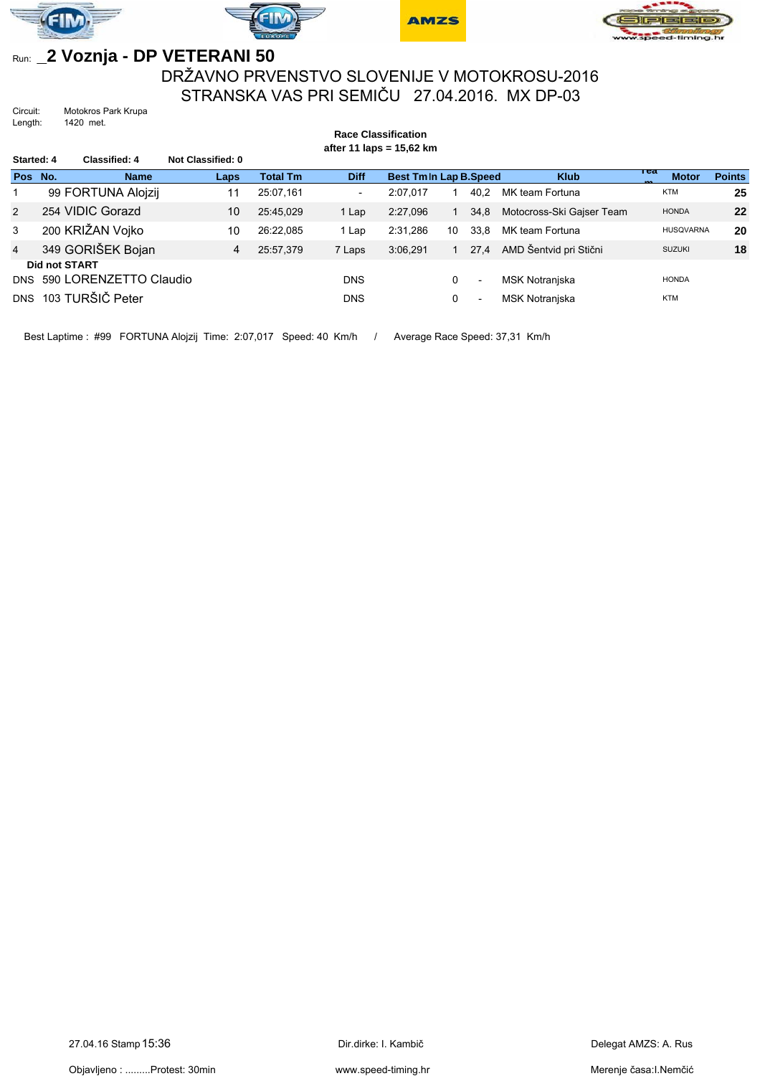







## Run: **\_2 Voznja - DP VETERANI 50**

## DRŽAVNO PRVENSTVO SLOVENIJE V MOTOKROSU-2016 STRANSKA VAS PRI SEMIČU 27.04.2016. MX DP-03

Circuit: Motokros Park Krupa<br>Length: 1420 met. 1420 met.

|                      | <b>Race Classification</b> |                        |                   |                            |                          |                              |    |                          |                           |                     |               |  |
|----------------------|----------------------------|------------------------|-------------------|----------------------------|--------------------------|------------------------------|----|--------------------------|---------------------------|---------------------|---------------|--|
| Started: 4           |                            | <b>Classified: 4</b>   | Not Classified: 0 | after 11 laps = $15,62$ km |                          |                              |    |                          |                           |                     |               |  |
| Pos No.              |                            | <b>Name</b>            | Laps              | <b>Total Tm</b>            | <b>Diff</b>              | <b>Best Tmln Lap B.Speed</b> |    |                          | <b>Klub</b>               | теа<br><b>Motor</b> | <b>Points</b> |  |
|                      |                            | 99 FORTUNA Alojzij     | 11                | 25:07.161                  | $\overline{\phantom{a}}$ | 2:07.017                     |    | 40.2                     | MK team Fortuna           | <b>KTM</b>          | 25            |  |
| $\overline{2}$       |                            | 254 VIDIC Gorazd       | 10                | 25:45.029                  | 1 Lap                    | 2:27.096                     |    | 34,8                     | Motocross-Ski Gajser Team | <b>HONDA</b>        | 22            |  |
| 3                    |                            | 200 KRIŽAN Vojko       | 10                | 26:22.085                  | 1 Lap                    | 2:31.286                     | 10 | 33.8                     | MK team Fortuna           | <b>HUSQVARNA</b>    | 20            |  |
| $\overline{4}$       |                            | 349 GORIŠEK Bojan      | 4                 | 25:57.379                  | 7 Laps                   | 3:06.291                     |    | 27.4                     | AMD Šentvid pri Stični    | <b>SUZUKI</b>       | 18            |  |
| <b>Did not START</b> |                            |                        |                   |                            |                          |                              |    |                          |                           |                     |               |  |
| <b>DNS</b>           |                            | 590 LORENZETTO Claudio |                   |                            | <b>DNS</b>               |                              | 0  | $\overline{\phantom{a}}$ | <b>MSK Notranjska</b>     | <b>HONDA</b>        |               |  |
|                      |                            | DNS 103 TURŠIČ Peter   |                   |                            | <b>DNS</b>               |                              | 0  | $\overline{\phantom{a}}$ | <b>MSK Notraniska</b>     | <b>KTM</b>          |               |  |

Best Laptime : #99 FORTUNA Alojzij Time: 2:07,017 Speed: 40 Km/h / Average Race Speed: 37,31 Km/h